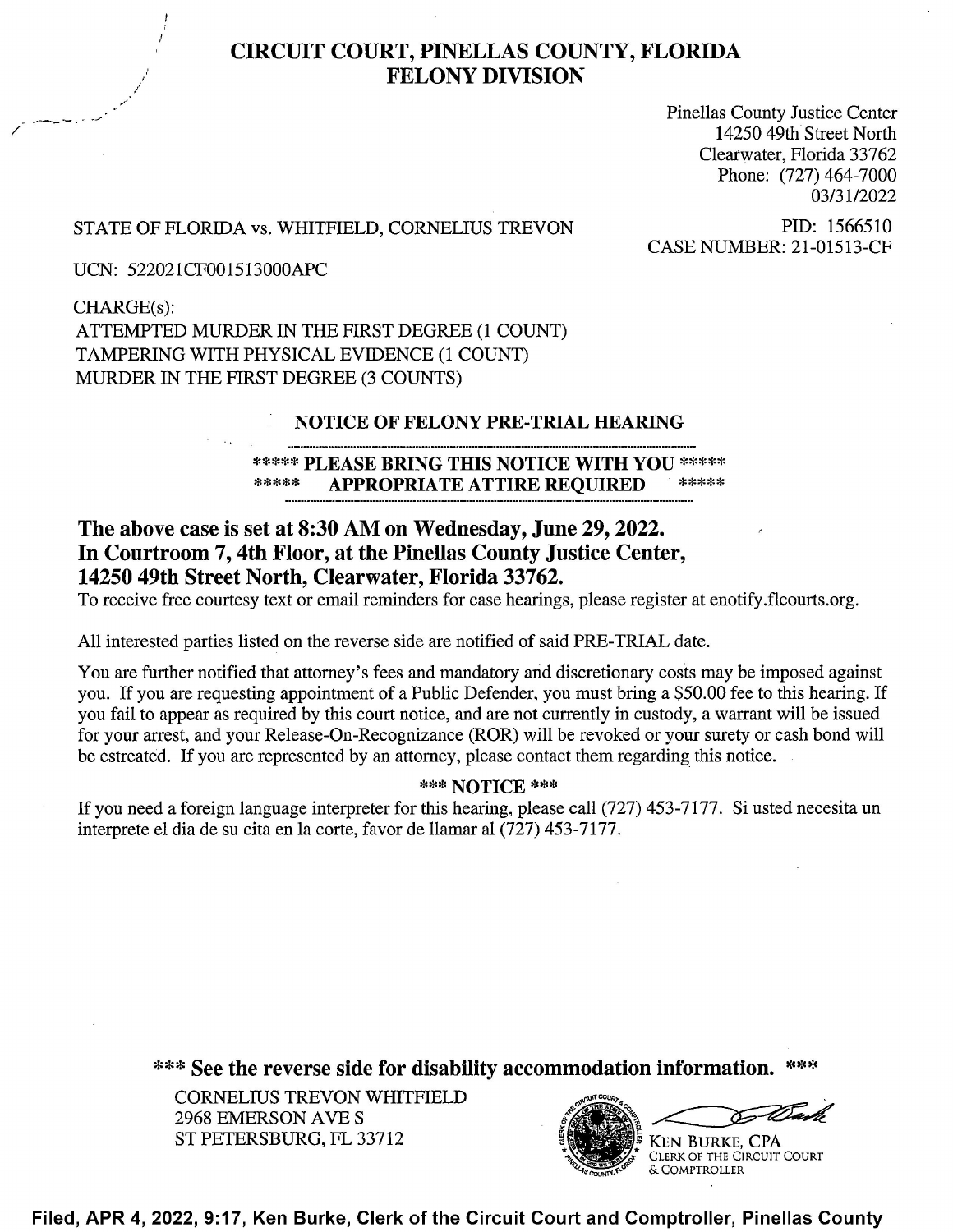

## CIRCUIT COURT, PINELLAS COUNTY, FLORIDA **FELONY DIVISION**

Pinellas County Justice Center 14250 49th Street North Clearwater, Florida 33762 Phone: (727) 464-7000 03/3 1/2022

# STATE OF FLORIDA vs. WHITFIELD, CORNELIUS TREVON PID: 1566510<br>CASE NUMBER: 21-01513-CF

UCN: 522021CF0015 13000APC

CHARGE(S): ATTEMPTED MURDER LN THE FIRST DEGREE (1 COUNT) TAMPERING WITH PHYSICAL EVIDENCE (1 COUNT) MURDER IN THE FIRST DEGREE (3 COUNTS)

### NOTICE OF FELONY PRE-TRIAL HEARING

\*\*\*\*\* PLEASE BRING THIS NOTICE WITH YOU \*\*\*\*\* APPROPRIATE ATTIRE REQUIRED

# The above case is set at 8:30 AM 0n Wednesday, June 29, 2022. In Courtroom 7, 4th Floor, at the Pinellas County Justice Center, 14250 49th Street North, Clearwater, Florida 33762.

To receive free courtesy text or email reminders for case hearings, please register at enotify.flcourts.org.

A11 interested parties listed on the reverse side are notified 0f said PRE-TRIAL date.

You are further notified that attorney's fees and mandatory and discretionary costs may be imposed against you. If you are requesting appointment of a Public Defender, you must bring a \$50.00 fee to this hearing. If you fail to appear as required by this court notice, and are not currently in custody, a warrant will be issued for your arrest, and your Release-On-Recognizance (ROR) will be revoked or your surety or cash bond will be estreated. If you are represented by an attorney, please contact them regarding this notice.

## \*\*\* NOTICE \*\*\*

If you need a foreign language interpreter for this hearing, please call (727) 453-7177. Si usted necesita un interprete el dia de su cita en 1a corte, favor de llamar a1 (727) 453-7177.

\*\*\* See the reverse side for disability accommodation information. \*\*\*

CORNELIUS TREVON WHITFIELD 2968 EMERSON AVE ST PETERSBURG, FL 33712 **KEN BURKE, CPA** 



Filed, APR 4, 2022, 9:17, Ken Burke, Clerk of the Circuit Court and Comptroller, Pinellas County